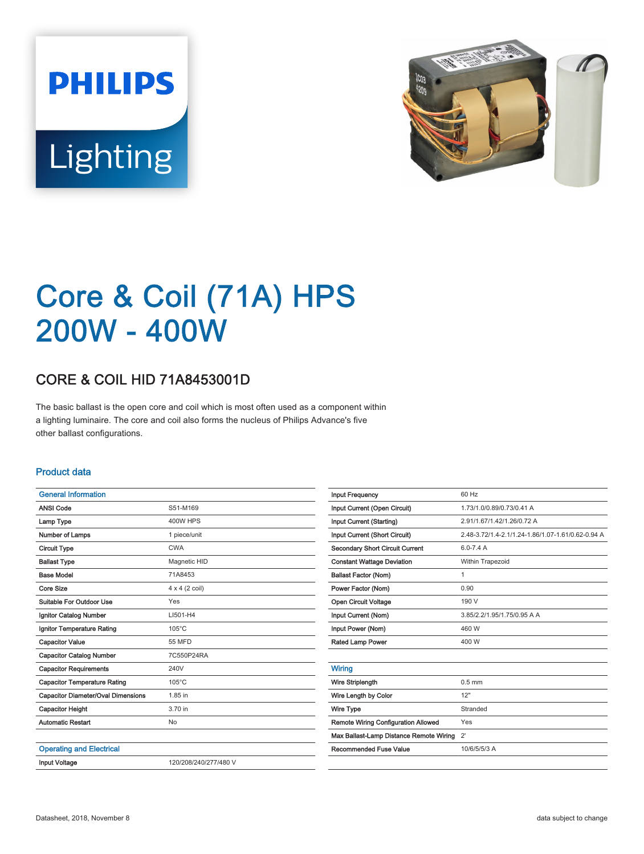



# Core & Coil (71A) HPS 200W - 400W

## CORE & COIL HID 71A8453001D

The basic ballast is the open core and coil which is most often used as a component within a lighting luminaire. The core and coil also forms the nucleus of Philips Advance's five other ballast configurations.

#### Product data

| <b>General Information</b>                |                       |
|-------------------------------------------|-----------------------|
| <b>ANSI Code</b>                          | S51-M169              |
| Lamp Type                                 | <b>400W HPS</b>       |
| Number of Lamps                           | 1 piece/unit          |
| <b>Circuit Type</b>                       | <b>CWA</b>            |
| <b>Ballast Type</b>                       | Magnetic HID          |
| <b>Base Model</b>                         | 71A8453               |
| Core Size                                 | $4 \times 4$ (2 coil) |
| Suitable For Outdoor Use                  | Yes                   |
| Ignitor Catalog Number                    | LI501-H4              |
| Ignitor Temperature Rating                | $105^{\circ}$ C       |
| <b>Capacitor Value</b>                    | 55 MFD                |
| <b>Capacitor Catalog Number</b>           | 7C550P24RA            |
| <b>Capacitor Requirements</b>             | 240V                  |
| <b>Capacitor Temperature Rating</b>       | $105^{\circ}$ C       |
| <b>Capacitor Diameter/Oval Dimensions</b> | 1.85 in               |
| <b>Capacitor Height</b>                   | 3.70 in               |
| <b>Automatic Restart</b>                  | No                    |
|                                           |                       |
| <b>Operating and Electrical</b>           |                       |
| <b>Input Voltage</b>                      | 120/208/240/277/480 V |
|                                           |                       |

| <b>Input Frequency</b>                     | 60 Hz                                             |
|--------------------------------------------|---------------------------------------------------|
| Input Current (Open Circuit)               | 1.73/1.0/0.89/0.73/0.41 A                         |
| Input Current (Starting)                   | 2.91/1.67/1.42/1.26/0.72 A                        |
| Input Current (Short Circuit)              | 2.48-3.72/1.4-2.1/1.24-1.86/1.07-1.61/0.62-0.94 A |
| Secondary Short Circuit Current            | $6.0 - 7.4$ A                                     |
| <b>Constant Wattage Deviation</b>          | Within Trapezoid                                  |
| <b>Ballast Factor (Nom)</b>                | $\mathbf{1}$                                      |
| Power Factor (Nom)                         | 0.90                                              |
| Open Circuit Voltage                       | 190 V                                             |
| Input Current (Nom)                        | 3.85/2.2/1.95/1.75/0.95 A A                       |
| Input Power (Nom)                          | 460 W                                             |
| Rated Lamp Power                           | 400 W                                             |
|                                            |                                                   |
| Wiring                                     |                                                   |
| <b>Wire Striplength</b>                    | $0.5$ mm                                          |
| Wire Length by Color                       | 12"                                               |
| Wire Type                                  | Stranded                                          |
| <b>Remote Wiring Configuration Allowed</b> | Yes                                               |
| Max Ballast-Lamp Distance Remote Wiring    | $2^{\prime}$                                      |
| Recommended Fuse Value                     | 10/6/5/5/3 A                                      |
|                                            |                                                   |